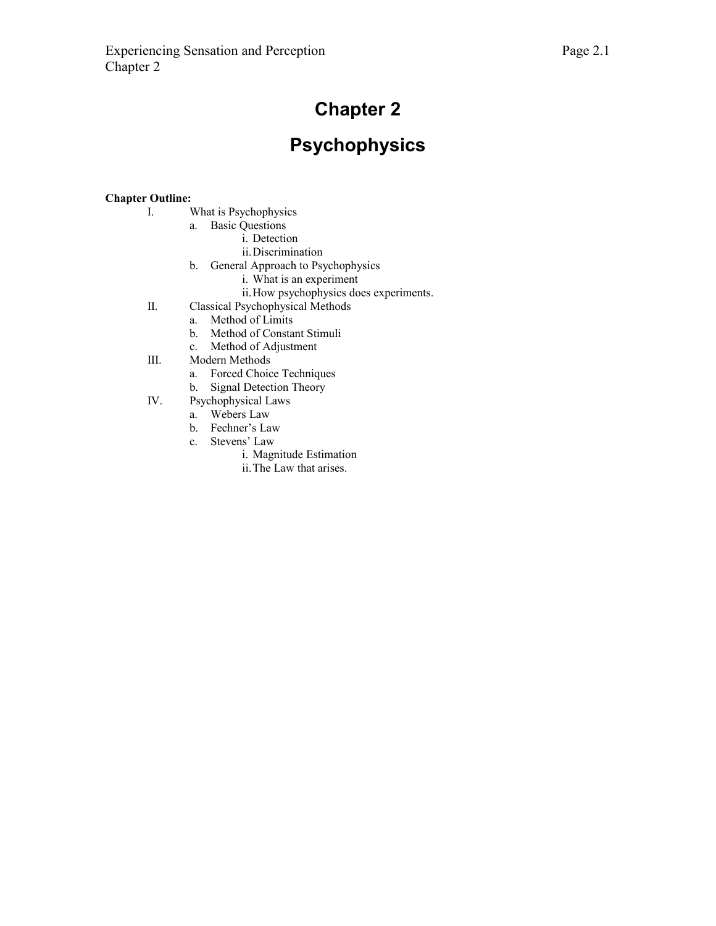# **Chapter 2**

# **Psychophysics**

## **Chapter Outline:**

- I. What is Psychophysics
	- a. Basic Questions
		- i. Detection
		- ii.Discrimination
	- b. General Approach to Psychophysics
		- i. What is an experiment
		- ii.How psychophysics does experiments.
- II. Classical Psychophysical Methods
	- a. Method of Limits
		- b. Method of Constant Stimuli
		- c. Method of Adjustment
- III. Modern Methods
	- a. Forced Choice Techniques
	- b. Signal Detection Theory
- IV. Psychophysical Laws
	- a. Webers Law
	- b. Fechner's Law
	- c. Stevens' Law
		- i. Magnitude Estimation
			- ii.The Law that arises.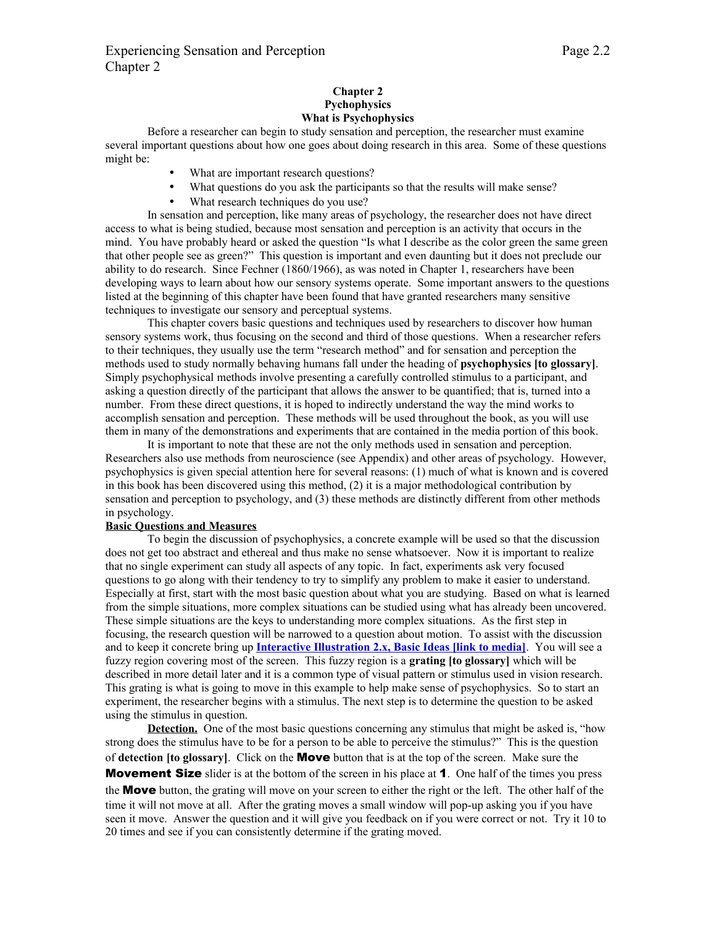## **Chapter 2 Pychophysics What is Psychophysics**

Before a researcher can begin to study sensation and perception, the researcher must examine several important questions about how one goes about doing research in this area. Some of these questions might be:

- What are important research questions?
- What questions do you ask the participants so that the results will make sense?
- What research techniques do you use?

In sensation and perception, like many areas of psychology, the researcher does not have direct access to what is being studied, because most sensation and perception is an activity that occurs in the mind. You have probably heard or asked the question "Is what I describe as the color green the same green that other people see as green?" This question is important and even daunting but it does not preclude our ability to do research. Since Fechner (1860/1966), as was noted in Chapter 1, researchers have been developing ways to learn about how our sensory systems operate. Some important answers to the questions listed at the beginning of this chapter have been found that have granted researchers many sensitive techniques to investigate our sensory and perceptual systems.

This chapter covers basic questions and techniques used by researchers to discover how human sensory systems work, thus focusing on the second and third of those questions. When a researcher refers to their techniques, they usually use the term "research method" and for sensation and perception the methods used to study normally behaving humans fall under the heading of **psychophysics [to glossary]**. Simply psychophysical methods involve presenting a carefully controlled stimulus to a participant, and asking a question directly of the participant that allows the answer to be quantified; that is, turned into a number. From these direct questions, it is hoped to indirectly understand the way the mind works to accomplish sensation and perception. These methods will be used throughout the book, as you will use them in many of the demonstrations and experiments that are contained in the media portion of this book.

It is important to note that these are not the only methods used in sensation and perception. Researchers also use methods from neuroscience (see Appendix) and other areas of psychology. However, psychophysics is given special attention here for several reasons: (1) much of what is known and is covered in this book has been discovered using this method, (2) it is a major methodological contribution by sensation and perception to psychology, and (3) these methods are distinctly different from other methods in psychology.

## **Basic Questions and Measures**

To begin the discussion of psychophysics, a concrete example will be used so that the discussion does not get too abstract and ethereal and thus make no sense whatsoever. Now it is important to realize that no single experiment can study all aspects of any topic. In fact, experiments ask very focused questions to go along with their tendency to try to simplify any problem to make it easier to understand. Especially at first, start with the most basic question about what you are studying. Based on what is learned from the simple situations, more complex situations can be studied using what has already been uncovered. These simple situations are the keys to understanding more complex situations. As the first step in focusing, the research question will be narrowed to a question about motion. To assist with the discussion and to keep it concrete bring up **[Interactive Illustration 2.x, Basic Ideas \[link to media\]](http://psych.hanover.edu/JavaTest/Media/Chapter2/MedFig.BasicIdeas.html)**. You will see a fuzzy region covering most of the screen. This fuzzy region is a **grating [to glossary]** which will be described in more detail later and it is a common type of visual pattern or stimulus used in vision research. This grating is what is going to move in this example to help make sense of psychophysics. So to start an experiment, the researcher begins with a stimulus. The next step is to determine the question to be asked using the stimulus in question.

**Detection.** One of the most basic questions concerning any stimulus that might be asked is, "how strong does the stimulus have to be for a person to be able to perceive the stimulus?" This is the question of **detection [to glossary]**. Click on the Move button that is at the top of the screen. Make sure the **Movement Size** slider is at the bottom of the screen in his place at **1**. One half of the times you press the **Move** button, the grating will move on your screen to either the right or the left. The other half of the time it will not move at all. After the grating moves a small window will pop-up asking you if you have seen it move. Answer the question and it will give you feedback on if you were correct or not. Try it 10 to 20 times and see if you can consistently determine if the grating moved.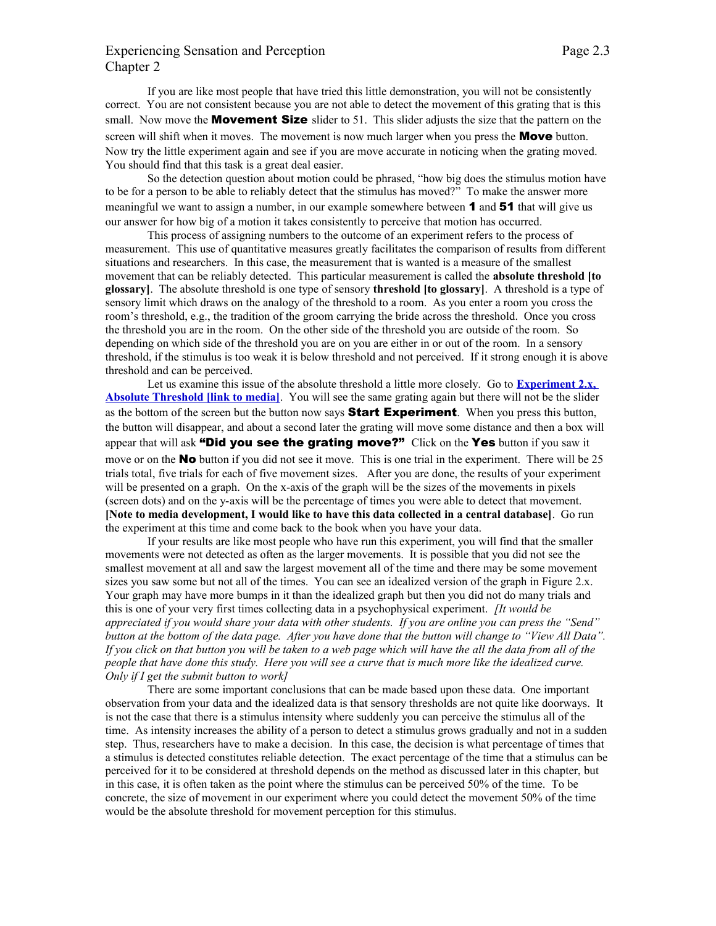## Experiencing Sensation and Perception Page 2.3 Chapter 2

If you are like most people that have tried this little demonstration, you will not be consistently correct. You are not consistent because you are not able to detect the movement of this grating that is this small. Now move the **Movement Size** slider to 51. This slider adjusts the size that the pattern on the screen will shift when it moves. The movement is now much larger when you press the **Move** button. Now try the little experiment again and see if you are move accurate in noticing when the grating moved. You should find that this task is a great deal easier.

So the detection question about motion could be phrased, "how big does the stimulus motion have to be for a person to be able to reliably detect that the stimulus has moved?" To make the answer more meaningful we want to assign a number, in our example somewhere between **1** and **51** that will give us our answer for how big of a motion it takes consistently to perceive that motion has occurred.

This process of assigning numbers to the outcome of an experiment refers to the process of measurement. This use of quantitative measures greatly facilitates the comparison of results from different situations and researchers. In this case, the measurement that is wanted is a measure of the smallest movement that can be reliably detected. This particular measurement is called the **absolute threshold [to glossary]**. The absolute threshold is one type of sensory **threshold [to glossary]**. A threshold is a type of sensory limit which draws on the analogy of the threshold to a room. As you enter a room you cross the room's threshold, e.g., the tradition of the groom carrying the bride across the threshold. Once you cross the threshold you are in the room. On the other side of the threshold you are outside of the room. So depending on which side of the threshold you are on you are either in or out of the room. In a sensory threshold, if the stimulus is too weak it is below threshold and not perceived. If it strong enough it is above threshold and can be perceived.

Let us examine this issue of the absolute threshold a little more closely. Go to **[Experiment 2.x,](http://psych.hanover.edu/JavaTest/Media/Chapter2/MedFig.AbsoluteThreshold.html) [Absolute Threshold \[link to media\]](http://psych.hanover.edu/JavaTest/Media/Chapter2/MedFig.AbsoluteThreshold.html)**. You will see the same grating again but there will not be the slider as the bottom of the screen but the button now says **Start Experiment**. When you press this button, the button will disappear, and about a second later the grating will move some distance and then a box will appear that will ask "Did you see the grating move?" Click on the Yes button if you saw it move or on the **No** button if you did not see it move. This is one trial in the experiment. There will be 25 trials total, five trials for each of five movement sizes. After you are done, the results of your experiment will be presented on a graph. On the x-axis of the graph will be the sizes of the movements in pixels (screen dots) and on the y-axis will be the percentage of times you were able to detect that movement. **[Note to media development, I would like to have this data collected in a central database]**. Go run the experiment at this time and come back to the book when you have your data.

If your results are like most people who have run this experiment, you will find that the smaller movements were not detected as often as the larger movements. It is possible that you did not see the smallest movement at all and saw the largest movement all of the time and there may be some movement sizes you saw some but not all of the times. You can see an idealized version of the graph in Figure 2.x. Your graph may have more bumps in it than the idealized graph but then you did not do many trials and this is one of your very first times collecting data in a psychophysical experiment. *[It would be appreciated if you would share your data with other students. If you are online you can press the "Send" button at the bottom of the data page. After you have done that the button will change to "View All Data". If you click on that button you will be taken to a web page which will have the all the data from all of the people that have done this study. Here you will see a curve that is much more like the idealized curve. Only if I get the submit button to work]*

There are some important conclusions that can be made based upon these data. One important observation from your data and the idealized data is that sensory thresholds are not quite like doorways. It is not the case that there is a stimulus intensity where suddenly you can perceive the stimulus all of the time. As intensity increases the ability of a person to detect a stimulus grows gradually and not in a sudden step. Thus, researchers have to make a decision. In this case, the decision is what percentage of times that a stimulus is detected constitutes reliable detection. The exact percentage of the time that a stimulus can be perceived for it to be considered at threshold depends on the method as discussed later in this chapter, but in this case, it is often taken as the point where the stimulus can be perceived 50% of the time. To be concrete, the size of movement in our experiment where you could detect the movement 50% of the time would be the absolute threshold for movement perception for this stimulus.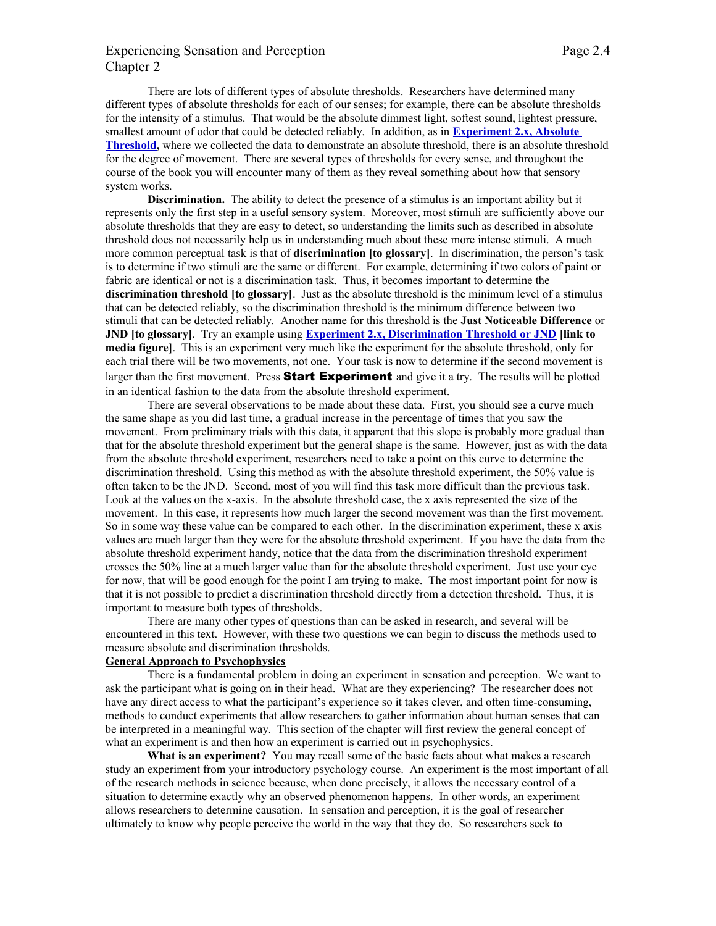# Experiencing Sensation and Perception Page 2.4 Chapter 2

There are lots of different types of absolute thresholds. Researchers have determined many different types of absolute thresholds for each of our senses; for example, there can be absolute thresholds for the intensity of a stimulus. That would be the absolute dimmest light, softest sound, lightest pressure, smallest amount of odor that could be detected reliably. In addition, as in **[Experiment 2.x, Absolute](http://psych.hanover.edu/JavaTest/Media/Chapter2/MedFig.AbsoluteThreshold.html) [Threshold,](http://psych.hanover.edu/JavaTest/Media/Chapter2/MedFig.AbsoluteThreshold.html)** where we collected the data to demonstrate an absolute threshold, there is an absolute threshold for the degree of movement. There are several types of thresholds for every sense, and throughout the course of the book you will encounter many of them as they reveal something about how that sensory system works.

**Discrimination.** The ability to detect the presence of a stimulus is an important ability but it represents only the first step in a useful sensory system. Moreover, most stimuli are sufficiently above our absolute thresholds that they are easy to detect, so understanding the limits such as described in absolute threshold does not necessarily help us in understanding much about these more intense stimuli. A much more common perceptual task is that of **discrimination [to glossary]**. In discrimination, the person's task is to determine if two stimuli are the same or different. For example, determining if two colors of paint or fabric are identical or not is a discrimination task. Thus, it becomes important to determine the **discrimination threshold [to glossary]**. Just as the absolute threshold is the minimum level of a stimulus that can be detected reliably, so the discrimination threshold is the minimum difference between two stimuli that can be detected reliably. Another name for this threshold is the **Just Noticeable Difference** or **JND [to glossary]**. Try an example using **[Experiment 2.x, Discrimination Threshold or JND](http://psych.hanover.edu/JavaTest/Media/Chapter2/MedFig.JND.html) [link to media figure]**. This is an experiment very much like the experiment for the absolute threshold, only for each trial there will be two movements, not one. Your task is now to determine if the second movement is larger than the first movement. Press **Start Experiment** and give it a try. The results will be plotted in an identical fashion to the data from the absolute threshold experiment.

There are several observations to be made about these data. First, you should see a curve much the same shape as you did last time, a gradual increase in the percentage of times that you saw the movement. From preliminary trials with this data, it apparent that this slope is probably more gradual than that for the absolute threshold experiment but the general shape is the same. However, just as with the data from the absolute threshold experiment, researchers need to take a point on this curve to determine the discrimination threshold. Using this method as with the absolute threshold experiment, the 50% value is often taken to be the JND. Second, most of you will find this task more difficult than the previous task. Look at the values on the x-axis. In the absolute threshold case, the x axis represented the size of the movement. In this case, it represents how much larger the second movement was than the first movement. So in some way these value can be compared to each other. In the discrimination experiment, these x axis values are much larger than they were for the absolute threshold experiment. If you have the data from the absolute threshold experiment handy, notice that the data from the discrimination threshold experiment crosses the 50% line at a much larger value than for the absolute threshold experiment. Just use your eye for now, that will be good enough for the point I am trying to make. The most important point for now is that it is not possible to predict a discrimination threshold directly from a detection threshold. Thus, it is important to measure both types of thresholds.

There are many other types of questions than can be asked in research, and several will be encountered in this text. However, with these two questions we can begin to discuss the methods used to measure absolute and discrimination thresholds.

## **General Approach to Psychophysics**

There is a fundamental problem in doing an experiment in sensation and perception. We want to ask the participant what is going on in their head. What are they experiencing? The researcher does not have any direct access to what the participant's experience so it takes clever, and often time-consuming, methods to conduct experiments that allow researchers to gather information about human senses that can be interpreted in a meaningful way. This section of the chapter will first review the general concept of what an experiment is and then how an experiment is carried out in psychophysics.

**What is an experiment?** You may recall some of the basic facts about what makes a research study an experiment from your introductory psychology course. An experiment is the most important of all of the research methods in science because, when done precisely, it allows the necessary control of a situation to determine exactly why an observed phenomenon happens. In other words, an experiment allows researchers to determine causation. In sensation and perception, it is the goal of researcher ultimately to know why people perceive the world in the way that they do. So researchers seek to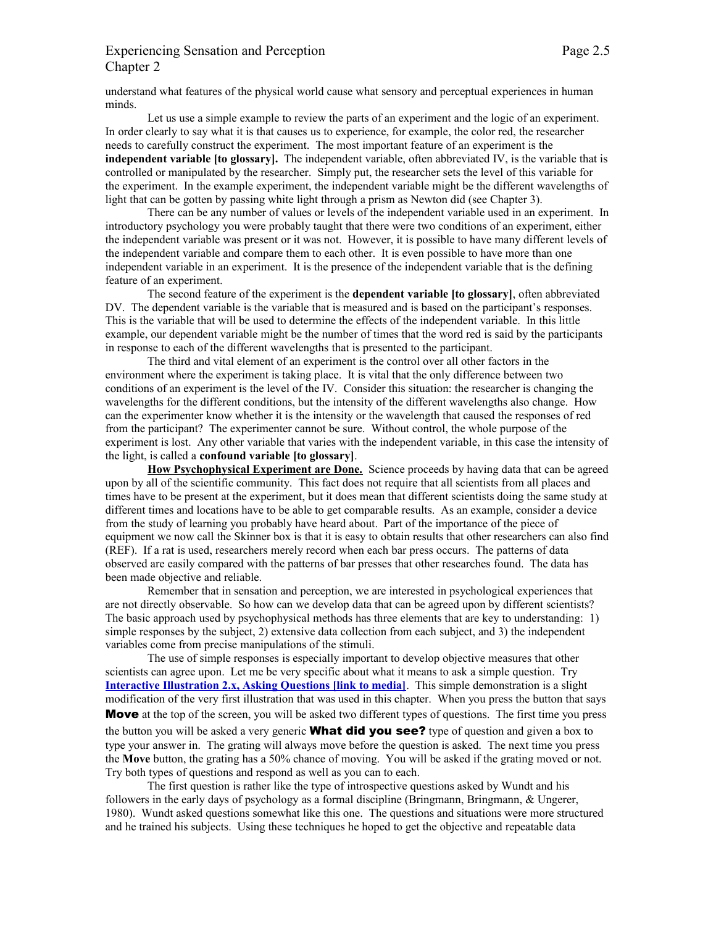# Experiencing Sensation and Perception Page 2.5 Chapter 2

understand what features of the physical world cause what sensory and perceptual experiences in human minds.

Let us use a simple example to review the parts of an experiment and the logic of an experiment. In order clearly to say what it is that causes us to experience, for example, the color red, the researcher needs to carefully construct the experiment. The most important feature of an experiment is the **independent variable [to glossary].** The independent variable, often abbreviated IV, is the variable that is controlled or manipulated by the researcher. Simply put, the researcher sets the level of this variable for the experiment. In the example experiment, the independent variable might be the different wavelengths of light that can be gotten by passing white light through a prism as Newton did (see Chapter 3).

There can be any number of values or levels of the independent variable used in an experiment. In introductory psychology you were probably taught that there were two conditions of an experiment, either the independent variable was present or it was not. However, it is possible to have many different levels of the independent variable and compare them to each other. It is even possible to have more than one independent variable in an experiment. It is the presence of the independent variable that is the defining feature of an experiment.

The second feature of the experiment is the **dependent variable [to glossary]**, often abbreviated DV. The dependent variable is the variable that is measured and is based on the participant's responses. This is the variable that will be used to determine the effects of the independent variable. In this little example, our dependent variable might be the number of times that the word red is said by the participants in response to each of the different wavelengths that is presented to the participant.

The third and vital element of an experiment is the control over all other factors in the environment where the experiment is taking place. It is vital that the only difference between two conditions of an experiment is the level of the IV. Consider this situation: the researcher is changing the wavelengths for the different conditions, but the intensity of the different wavelengths also change. How can the experimenter know whether it is the intensity or the wavelength that caused the responses of red from the participant? The experimenter cannot be sure. Without control, the whole purpose of the experiment is lost. Any other variable that varies with the independent variable, in this case the intensity of the light, is called a **confound variable [to glossary]**.

**How Psychophysical Experiment are Done.** Science proceeds by having data that can be agreed upon by all of the scientific community. This fact does not require that all scientists from all places and times have to be present at the experiment, but it does mean that different scientists doing the same study at different times and locations have to be able to get comparable results. As an example, consider a device from the study of learning you probably have heard about. Part of the importance of the piece of equipment we now call the Skinner box is that it is easy to obtain results that other researchers can also find (REF). If a rat is used, researchers merely record when each bar press occurs. The patterns of data observed are easily compared with the patterns of bar presses that other researches found. The data has been made objective and reliable.

Remember that in sensation and perception, we are interested in psychological experiences that are not directly observable. So how can we develop data that can be agreed upon by different scientists? The basic approach used by psychophysical methods has three elements that are key to understanding: 1) simple responses by the subject, 2) extensive data collection from each subject, and 3) the independent variables come from precise manipulations of the stimuli.

The use of simple responses is especially important to develop objective measures that other scientists can agree upon. Let me be very specific about what it means to ask a simple question. Try **[Interactive Illustration 2.x, Asking Questions \[link to media\]](http://psych.hanover.edu/JavaTest/Media/Chapter2/MedFig.AskingQuestions.html)**. This simple demonstration is a slight modification of the very first illustration that was used in this chapter. When you press the button that says **Move** at the top of the screen, you will be asked two different types of questions. The first time you press

the button you will be asked a very generic **What did you see?** type of question and given a box to type your answer in. The grating will always move before the question is asked. The next time you press the **Move** button, the grating has a 50% chance of moving. You will be asked if the grating moved or not. Try both types of questions and respond as well as you can to each.

The first question is rather like the type of introspective questions asked by Wundt and his followers in the early days of psychology as a formal discipline (Bringmann, Bringmann, & Ungerer, 1980). Wundt asked questions somewhat like this one. The questions and situations were more structured and he trained his subjects. Using these techniques he hoped to get the objective and repeatable data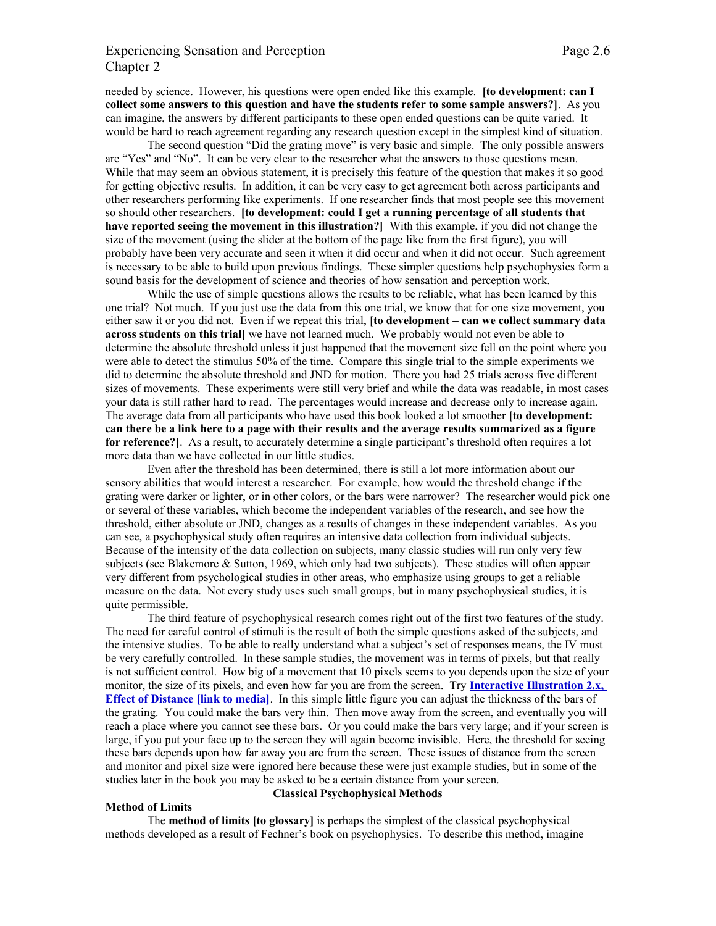## Experiencing Sensation and Perception Page 2.6 Chapter 2

needed by science. However, his questions were open ended like this example. **[to development: can I collect some answers to this question and have the students refer to some sample answers?]**. As you can imagine, the answers by different participants to these open ended questions can be quite varied. It would be hard to reach agreement regarding any research question except in the simplest kind of situation.

The second question "Did the grating move" is very basic and simple. The only possible answers are "Yes" and "No". It can be very clear to the researcher what the answers to those questions mean. While that may seem an obvious statement, it is precisely this feature of the question that makes it so good for getting objective results. In addition, it can be very easy to get agreement both across participants and other researchers performing like experiments. If one researcher finds that most people see this movement so should other researchers. **[to development: could I get a running percentage of all students that have reported seeing the movement in this illustration?]** With this example, if you did not change the size of the movement (using the slider at the bottom of the page like from the first figure), you will probably have been very accurate and seen it when it did occur and when it did not occur. Such agreement is necessary to be able to build upon previous findings. These simpler questions help psychophysics form a sound basis for the development of science and theories of how sensation and perception work.

While the use of simple questions allows the results to be reliable, what has been learned by this one trial? Not much. If you just use the data from this one trial, we know that for one size movement, you either saw it or you did not. Even if we repeat this trial, **[to development – can we collect summary data across students on this trial]** we have not learned much. We probably would not even be able to determine the absolute threshold unless it just happened that the movement size fell on the point where you were able to detect the stimulus 50% of the time. Compare this single trial to the simple experiments we did to determine the absolute threshold and JND for motion. There you had 25 trials across five different sizes of movements. These experiments were still very brief and while the data was readable, in most cases your data is still rather hard to read. The percentages would increase and decrease only to increase again. The average data from all participants who have used this book looked a lot smoother **[to development: can there be a link here to a page with their results and the average results summarized as a figure for reference?]**. As a result, to accurately determine a single participant's threshold often requires a lot more data than we have collected in our little studies.

Even after the threshold has been determined, there is still a lot more information about our sensory abilities that would interest a researcher. For example, how would the threshold change if the grating were darker or lighter, or in other colors, or the bars were narrower? The researcher would pick one or several of these variables, which become the independent variables of the research, and see how the threshold, either absolute or JND, changes as a results of changes in these independent variables. As you can see, a psychophysical study often requires an intensive data collection from individual subjects. Because of the intensity of the data collection on subjects, many classic studies will run only very few subjects (see Blakemore & Sutton, 1969, which only had two subjects). These studies will often appear very different from psychological studies in other areas, who emphasize using groups to get a reliable measure on the data. Not every study uses such small groups, but in many psychophysical studies, it is quite permissible.

The third feature of psychophysical research comes right out of the first two features of the study. The need for careful control of stimuli is the result of both the simple questions asked of the subjects, and the intensive studies. To be able to really understand what a subject's set of responses means, the IV must be very carefully controlled. In these sample studies, the movement was in terms of pixels, but that really is not sufficient control. How big of a movement that 10 pixels seems to you depends upon the size of your monitor, the size of its pixels, and even how far you are from the screen. Try **[Interactive Illustration 2.x,](http://psych.hanover.edu/JavaTest/Media/Chapter2/MedFig.EffectOfDistance.html)  [Effect of Distance \[link to media\]](http://psych.hanover.edu/JavaTest/Media/Chapter2/MedFig.EffectOfDistance.html)**.In this simple little figure you can adjust the thickness of the bars of the grating. You could make the bars very thin. Then move away from the screen, and eventually you will reach a place where you cannot see these bars. Or you could make the bars very large; and if your screen is large, if you put your face up to the screen they will again become invisible. Here, the threshold for seeing these bars depends upon how far away you are from the screen. These issues of distance from the screen and monitor and pixel size were ignored here because these were just example studies, but in some of the studies later in the book you may be asked to be a certain distance from your screen.

### **Method of Limits**

### **Classical Psychophysical Methods**

The **method of limits [to glossary]** is perhaps the simplest of the classical psychophysical methods developed as a result of Fechner's book on psychophysics. To describe this method, imagine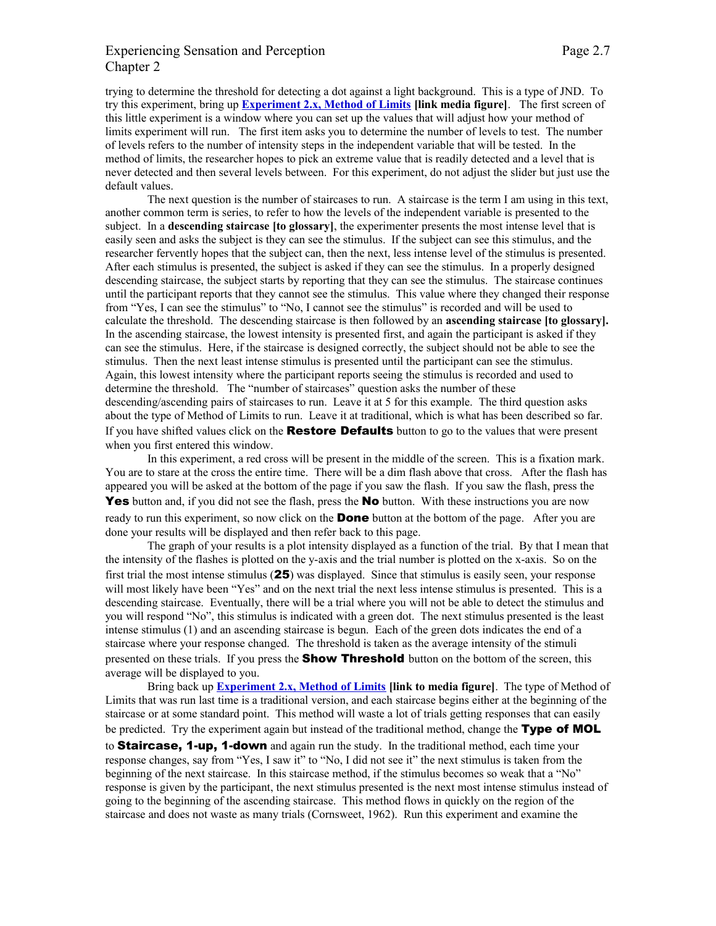## Experiencing Sensation and Perception Page 2.7 Chapter 2

trying to determine the threshold for detecting a dot against a light background. This is a type of JND. To try this experiment, bring up **[Experiment 2.x, Method of Limits](http://psych.hanover.edu/JavaTest/Media/Chapter2/MedFig.MethodOfLimits.html) [link media figure]**. The first screen of this little experiment is a window where you can set up the values that will adjust how your method of limits experiment will run. The first item asks you to determine the number of levels to test. The number of levels refers to the number of intensity steps in the independent variable that will be tested. In the method of limits, the researcher hopes to pick an extreme value that is readily detected and a level that is never detected and then several levels between. For this experiment, do not adjust the slider but just use the default values.

The next question is the number of staircases to run. A staircase is the term I am using in this text, another common term is series, to refer to how the levels of the independent variable is presented to the subject. In a **descending staircase [to glossary]**, the experimenter presents the most intense level that is easily seen and asks the subject is they can see the stimulus. If the subject can see this stimulus, and the researcher fervently hopes that the subject can, then the next, less intense level of the stimulus is presented. After each stimulus is presented, the subject is asked if they can see the stimulus. In a properly designed descending staircase, the subject starts by reporting that they can see the stimulus. The staircase continues until the participant reports that they cannot see the stimulus. This value where they changed their response from "Yes, I can see the stimulus" to "No, I cannot see the stimulus" is recorded and will be used to calculate the threshold. The descending staircase is then followed by an **ascending staircase [to glossary].** In the ascending staircase, the lowest intensity is presented first, and again the participant is asked if they can see the stimulus. Here, if the staircase is designed correctly, the subject should not be able to see the stimulus. Then the next least intense stimulus is presented until the participant can see the stimulus. Again, this lowest intensity where the participant reports seeing the stimulus is recorded and used to determine the threshold. The "number of staircases" question asks the number of these descending/ascending pairs of staircases to run. Leave it at 5 for this example. The third question asks about the type of Method of Limits to run. Leave it at traditional, which is what has been described so far. If you have shifted values click on the **Restore Defaults** button to go to the values that were present when you first entered this window.

In this experiment, a red cross will be present in the middle of the screen. This is a fixation mark. You are to stare at the cross the entire time. There will be a dim flash above that cross. After the flash has appeared you will be asked at the bottom of the page if you saw the flash. If you saw the flash, press the Yes button and, if you did not see the flash, press the No button. With these instructions you are now ready to run this experiment, so now click on the **Done** button at the bottom of the page. After you are done your results will be displayed and then refer back to this page.

The graph of your results is a plot intensity displayed as a function of the trial. By that I mean that the intensity of the flashes is plotted on the y-axis and the trial number is plotted on the x-axis. So on the first trial the most intense stimulus (25) was displayed. Since that stimulus is easily seen, your response will most likely have been "Yes" and on the next trial the next less intense stimulus is presented. This is a descending staircase. Eventually, there will be a trial where you will not be able to detect the stimulus and you will respond "No", this stimulus is indicated with a green dot. The next stimulus presented is the least intense stimulus (1) and an ascending staircase is begun. Each of the green dots indicates the end of a staircase where your response changed. The threshold is taken as the average intensity of the stimuli presented on these trials. If you press the **Show Threshold** button on the bottom of the screen, this average will be displayed to you.

Bring back up **[Experiment 2.x, Method of Limits](http://psych.hanover.edu/JavaTest/Media/Chapter2/MedFig.MethodOfLimits.html) [link to media figure]**. The type of Method of Limits that was run last time is a traditional version, and each staircase begins either at the beginning of the staircase or at some standard point. This method will waste a lot of trials getting responses that can easily be predicted. Try the experiment again but instead of the traditional method, change the Type of MOL to **Staircase, 1-up, 1-down** and again run the study. In the traditional method, each time your response changes, say from "Yes, I saw it" to "No, I did not see it" the next stimulus is taken from the beginning of the next staircase. In this staircase method, if the stimulus becomes so weak that a "No" response is given by the participant, the next stimulus presented is the next most intense stimulus instead of going to the beginning of the ascending staircase. This method flows in quickly on the region of the staircase and does not waste as many trials (Cornsweet, 1962). Run this experiment and examine the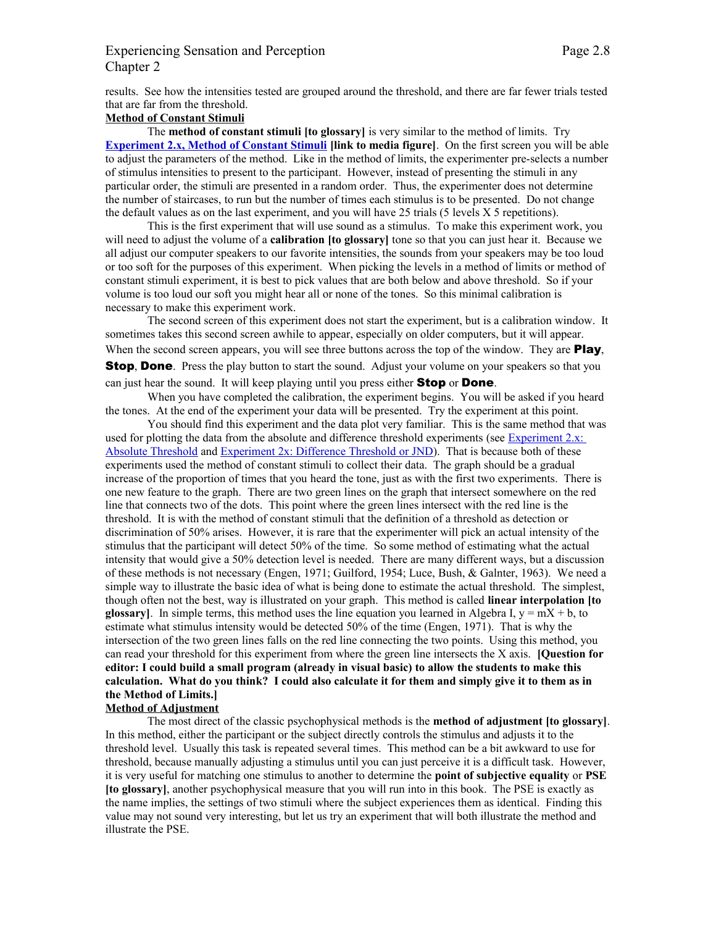# Experiencing Sensation and Perception Page 2.8 Chapter 2

results. See how the intensities tested are grouped around the threshold, and there are far fewer trials tested that are far from the threshold.

## **Method of Constant Stimuli**

The **method of constant stimuli [to glossary]** is very similar to the method of limits. Try **[Experiment 2.x, Method of Constant Stimuli](http://psych.hanover.edu/JavaTest/Media/Chapter2/MedFig.MethodOfConstantStimuli.html) [link to media figure]**. On the first screen you will be able to adjust the parameters of the method. Like in the method of limits, the experimenter pre-selects a number of stimulus intensities to present to the participant. However, instead of presenting the stimuli in any particular order, the stimuli are presented in a random order. Thus, the experimenter does not determine the number of staircases, to run but the number of times each stimulus is to be presented. Do not change the default values as on the last experiment, and you will have 25 trials (5 levels X 5 repetitions).

This is the first experiment that will use sound as a stimulus. To make this experiment work, you will need to adjust the volume of a **calibration [to glossary]** tone so that you can just hear it. Because we all adjust our computer speakers to our favorite intensities, the sounds from your speakers may be too loud or too soft for the purposes of this experiment. When picking the levels in a method of limits or method of constant stimuli experiment, it is best to pick values that are both below and above threshold. So if your volume is too loud our soft you might hear all or none of the tones. So this minimal calibration is necessary to make this experiment work.

The second screen of this experiment does not start the experiment, but is a calibration window. It sometimes takes this second screen awhile to appear, especially on older computers, but it will appear. When the second screen appears, you will see three buttons across the top of the window. They are **Play**, **Stop, Done.** Press the play button to start the sound. Adjust your volume on your speakers so that you can just hear the sound. It will keep playing until you press either **Stop** or **Done**.

When you have completed the calibration, the experiment begins. You will be asked if you heard the tones. At the end of the experiment your data will be presented. Try the experiment at this point.

You should find this experiment and the data plot very familiar. This is the same method that was used for plotting the data from the absolute and difference threshold experiments (see [Experiment 2.x:](http://psych.hanover.edu/JavaTest/Media/Chapter2/MedFig.AbsoluteThreshold.html) [Absolute Threshold](http://psych.hanover.edu/JavaTest/Media/Chapter2/MedFig.AbsoluteThreshold.html) and [Experiment 2x: Difference Threshold or JND\)](http://psych.hanover.edu/JavaTest/Media/Chapter2/MedFig.JND.html). That is because both of these experiments used the method of constant stimuli to collect their data. The graph should be a gradual increase of the proportion of times that you heard the tone, just as with the first two experiments. There is one new feature to the graph. There are two green lines on the graph that intersect somewhere on the red line that connects two of the dots. This point where the green lines intersect with the red line is the threshold. It is with the method of constant stimuli that the definition of a threshold as detection or discrimination of 50% arises. However, it is rare that the experimenter will pick an actual intensity of the stimulus that the participant will detect 50% of the time. So some method of estimating what the actual intensity that would give a 50% detection level is needed. There are many different ways, but a discussion of these methods is not necessary (Engen, 1971; Guilford, 1954; Luce, Bush, & Galnter, 1963). We need a simple way to illustrate the basic idea of what is being done to estimate the actual threshold. The simplest, though often not the best, way is illustrated on your graph. This method is called **linear interpolation [to glossary**]. In simple terms, this method uses the line equation you learned in Algebra I,  $y = mX + b$ , to estimate what stimulus intensity would be detected 50% of the time (Engen, 1971). That is why the intersection of the two green lines falls on the red line connecting the two points. Using this method, you can read your threshold for this experiment from where the green line intersects the X axis. **[Question for editor: I could build a small program (already in visual basic) to allow the students to make this calculation. What do you think? I could also calculate it for them and simply give it to them as in the Method of Limits.] Method of Adjustment**

The most direct of the classic psychophysical methods is the **method of adjustment [to glossary]**. In this method, either the participant or the subject directly controls the stimulus and adjusts it to the threshold level. Usually this task is repeated several times. This method can be a bit awkward to use for threshold, because manually adjusting a stimulus until you can just perceive it is a difficult task. However, it is very useful for matching one stimulus to another to determine the **point of subjective equality** or **PSE [to glossary]**, another psychophysical measure that you will run into in this book. The PSE is exactly as the name implies, the settings of two stimuli where the subject experiences them as identical. Finding this value may not sound very interesting, but let us try an experiment that will both illustrate the method and illustrate the PSE.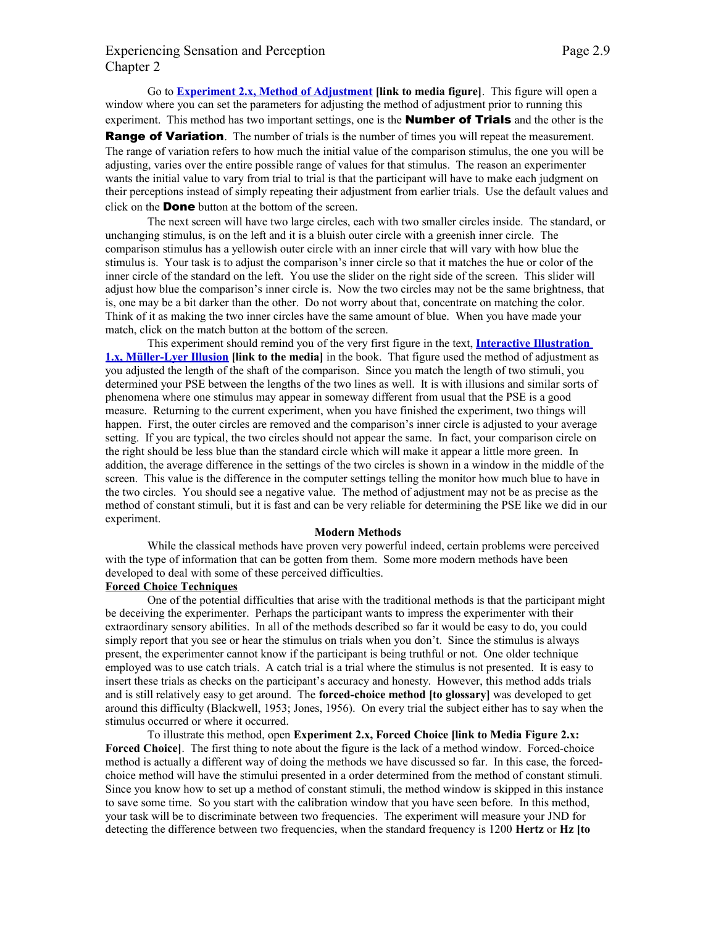# Experiencing Sensation and Perception Page 2.9 Chapter 2

Go to **[Experiment 2.x, Method of Adjustment](http://psych.hanover.edu/JavaTest/Media/Chapter2/MedFig.MethodOfAdjustment.html) [link to media figure]**. This figure will open a window where you can set the parameters for adjusting the method of adjustment prior to running this experiment. This method has two important settings, one is the **Number of Trials** and the other is the

**Range of Variation**. The number of trials is the number of times you will repeat the measurement. The range of variation refers to how much the initial value of the comparison stimulus, the one you will be adjusting, varies over the entire possible range of values for that stimulus. The reason an experimenter wants the initial value to vary from trial to trial is that the participant will have to make each judgment on their perceptions instead of simply repeating their adjustment from earlier trials. Use the default values and click on the **Done** button at the bottom of the screen.

The next screen will have two large circles, each with two smaller circles inside. The standard, or unchanging stimulus, is on the left and it is a bluish outer circle with a greenish inner circle. The comparison stimulus has a yellowish outer circle with an inner circle that will vary with how blue the stimulus is. Your task is to adjust the comparison's inner circle so that it matches the hue or color of the inner circle of the standard on the left. You use the slider on the right side of the screen. This slider will adjust how blue the comparison's inner circle is. Now the two circles may not be the same brightness, that is, one may be a bit darker than the other. Do not worry about that, concentrate on matching the color. Think of it as making the two inner circles have the same amount of blue. When you have made your match, click on the match button at the bottom of the screen.

This experiment should remind you of the very first figure in the text, **[Interactive Illustration](http://psych.hanover.edu/JavaTest/Media/Chapter1/MedFig.MuellerLyer.html) [1.x, Müller-Lyer Illusion](http://psych.hanover.edu/JavaTest/Media/Chapter1/MedFig.MuellerLyer.html) [link to the media]** in the book. That figure used the method of adjustment as you adjusted the length of the shaft of the comparison. Since you match the length of two stimuli, you determined your PSE between the lengths of the two lines as well. It is with illusions and similar sorts of phenomena where one stimulus may appear in someway different from usual that the PSE is a good measure. Returning to the current experiment, when you have finished the experiment, two things will happen. First, the outer circles are removed and the comparison's inner circle is adjusted to your average setting. If you are typical, the two circles should not appear the same. In fact, your comparison circle on the right should be less blue than the standard circle which will make it appear a little more green. In addition, the average difference in the settings of the two circles is shown in a window in the middle of the screen. This value is the difference in the computer settings telling the monitor how much blue to have in the two circles. You should see a negative value. The method of adjustment may not be as precise as the method of constant stimuli, but it is fast and can be very reliable for determining the PSE like we did in our experiment.

#### **Modern Methods**

While the classical methods have proven very powerful indeed, certain problems were perceived with the type of information that can be gotten from them. Some more modern methods have been developed to deal with some of these perceived difficulties.

#### **Forced Choice Techniques**

One of the potential difficulties that arise with the traditional methods is that the participant might be deceiving the experimenter. Perhaps the participant wants to impress the experimenter with their extraordinary sensory abilities. In all of the methods described so far it would be easy to do, you could simply report that you see or hear the stimulus on trials when you don't. Since the stimulus is always present, the experimenter cannot know if the participant is being truthful or not. One older technique employed was to use catch trials. A catch trial is a trial where the stimulus is not presented. It is easy to insert these trials as checks on the participant's accuracy and honesty. However, this method adds trials and is still relatively easy to get around. The **forced-choice method [to glossary]** was developed to get around this difficulty (Blackwell, 1953; Jones, 1956). On every trial the subject either has to say when the stimulus occurred or where it occurred.

To illustrate this method, open **Experiment 2.x, Forced Choice [link to Media Figure 2.x: Forced Choice]**. The first thing to note about the figure is the lack of a method window. Forced-choice method is actually a different way of doing the methods we have discussed so far. In this case, the forcedchoice method will have the stimului presented in a order determined from the method of constant stimuli. Since you know how to set up a method of constant stimuli, the method window is skipped in this instance to save some time. So you start with the calibration window that you have seen before. In this method, your task will be to discriminate between two frequencies. The experiment will measure your JND for detecting the difference between two frequencies, when the standard frequency is 1200 **Hertz** or **Hz [to**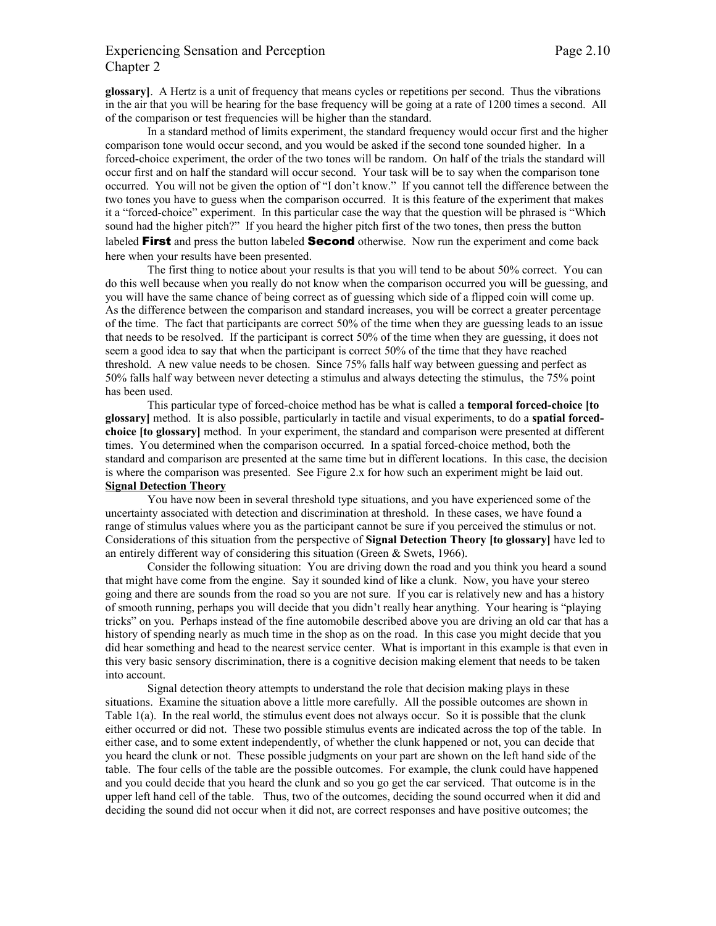# Experiencing Sensation and Perception Page 2.10 Chapter 2

**glossary]**. A Hertz is a unit of frequency that means cycles or repetitions per second. Thus the vibrations in the air that you will be hearing for the base frequency will be going at a rate of 1200 times a second. All of the comparison or test frequencies will be higher than the standard.

In a standard method of limits experiment, the standard frequency would occur first and the higher comparison tone would occur second, and you would be asked if the second tone sounded higher. In a forced-choice experiment, the order of the two tones will be random. On half of the trials the standard will occur first and on half the standard will occur second. Your task will be to say when the comparison tone occurred. You will not be given the option of "I don't know." If you cannot tell the difference between the two tones you have to guess when the comparison occurred. It is this feature of the experiment that makes it a "forced-choice" experiment. In this particular case the way that the question will be phrased is "Which sound had the higher pitch?" If you heard the higher pitch first of the two tones, then press the button labeled **First** and press the button labeled **Second** otherwise. Now run the experiment and come back here when your results have been presented.

The first thing to notice about your results is that you will tend to be about 50% correct. You can do this well because when you really do not know when the comparison occurred you will be guessing, and you will have the same chance of being correct as of guessing which side of a flipped coin will come up. As the difference between the comparison and standard increases, you will be correct a greater percentage of the time. The fact that participants are correct 50% of the time when they are guessing leads to an issue that needs to be resolved. If the participant is correct 50% of the time when they are guessing, it does not seem a good idea to say that when the participant is correct 50% of the time that they have reached threshold. A new value needs to be chosen. Since 75% falls half way between guessing and perfect as 50% falls half way between never detecting a stimulus and always detecting the stimulus, the 75% point has been used.

This particular type of forced-choice method has be what is called a **temporal forced-choice [to glossary]** method. It is also possible, particularly in tactile and visual experiments, to do a **spatial forcedchoice [to glossary]** method. In your experiment, the standard and comparison were presented at different times. You determined when the comparison occurred. In a spatial forced-choice method, both the standard and comparison are presented at the same time but in different locations. In this case, the decision is where the comparison was presented. See Figure 2.x for how such an experiment might be laid out. **Signal Detection Theory**

You have now been in several threshold type situations, and you have experienced some of the uncertainty associated with detection and discrimination at threshold. In these cases, we have found a range of stimulus values where you as the participant cannot be sure if you perceived the stimulus or not. Considerations of this situation from the perspective of **Signal Detection Theory [to glossary]** have led to an entirely different way of considering this situation (Green & Swets, 1966).

Consider the following situation: You are driving down the road and you think you heard a sound that might have come from the engine. Say it sounded kind of like a clunk. Now, you have your stereo going and there are sounds from the road so you are not sure. If you car is relatively new and has a history of smooth running, perhaps you will decide that you didn't really hear anything. Your hearing is "playing tricks" on you. Perhaps instead of the fine automobile described above you are driving an old car that has a history of spending nearly as much time in the shop as on the road. In this case you might decide that you did hear something and head to the nearest service center. What is important in this example is that even in this very basic sensory discrimination, there is a cognitive decision making element that needs to be taken into account.

Signal detection theory attempts to understand the role that decision making plays in these situations. Examine the situation above a little more carefully. All the possible outcomes are shown in Table 1(a). In the real world, the stimulus event does not always occur. So it is possible that the clunk either occurred or did not. These two possible stimulus events are indicated across the top of the table. In either case, and to some extent independently, of whether the clunk happened or not, you can decide that you heard the clunk or not. These possible judgments on your part are shown on the left hand side of the table. The four cells of the table are the possible outcomes. For example, the clunk could have happened and you could decide that you heard the clunk and so you go get the car serviced. That outcome is in the upper left hand cell of the table. Thus, two of the outcomes, deciding the sound occurred when it did and deciding the sound did not occur when it did not, are correct responses and have positive outcomes; the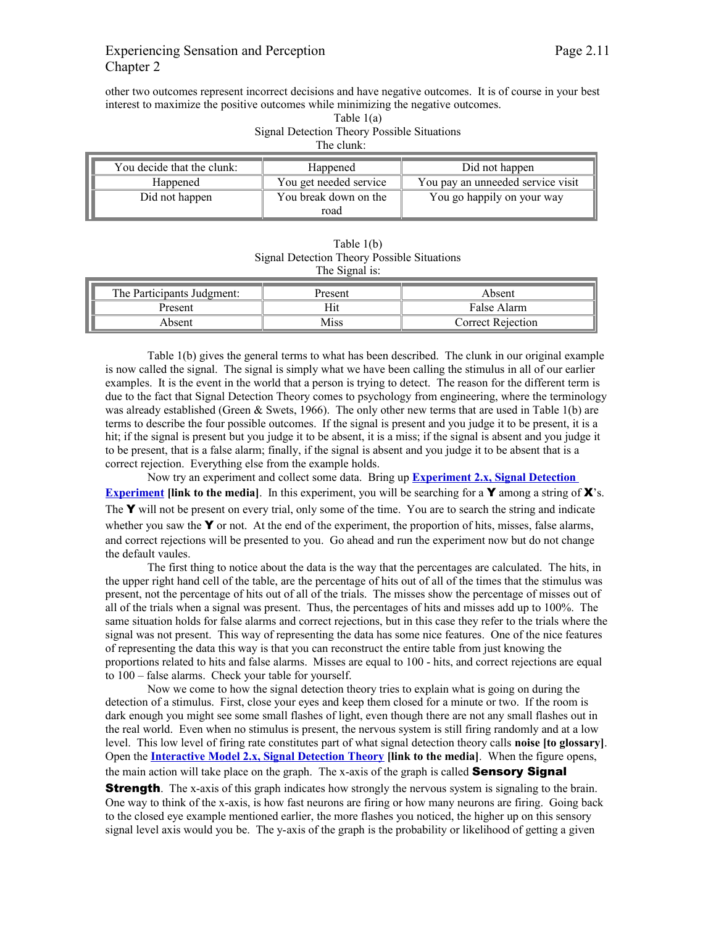# Experiencing Sensation and Perception Page 2.11 Chapter 2

other two outcomes represent incorrect decisions and have negative outcomes. It is of course in your best interest to maximize the positive outcomes while minimizing the negative outcomes.

Table 1(a)

| Signal Detection Theory Possible Situations<br>The clunk: |                        |                                   |  |
|-----------------------------------------------------------|------------------------|-----------------------------------|--|
| You decide that the clunk:                                | Happened               | Did not happen                    |  |
| Happened                                                  | You get needed service | You pay an unneeded service visit |  |
| Did not happen                                            | You break down on the  | You go happily on your way        |  |
|                                                           | road                   |                                   |  |

Table 1(b) Signal Detection Theory Possible Situations The Signal is:

| The Participants Judgment: | Present | Absent                   |
|----------------------------|---------|--------------------------|
| Present                    | Hit     | False Alarm              |
| Absent                     | Miss    | <b>Correct Rejection</b> |

Table 1(b) gives the general terms to what has been described. The clunk in our original example is now called the signal. The signal is simply what we have been calling the stimulus in all of our earlier examples. It is the event in the world that a person is trying to detect. The reason for the different term is due to the fact that Signal Detection Theory comes to psychology from engineering, where the terminology was already established (Green & Swets, 1966). The only other new terms that are used in Table 1(b) are terms to describe the four possible outcomes. If the signal is present and you judge it to be present, it is a hit; if the signal is present but you judge it to be absent, it is a miss; if the signal is absent and you judge it to be present, that is a false alarm; finally, if the signal is absent and you judge it to be absent that is a correct rejection. Everything else from the example holds.

Now try an experiment and collect some data. Bring up **[Experiment 2.x, Signal Detection](http://psych.hanover.edu/JavaTest/Media/Chapter2/MedFig.SignalDetection.html) [Experiment](http://psych.hanover.edu/JavaTest/Media/Chapter2/MedFig.SignalDetection.html)** *[link to the media]*. In this experiment, you will be searching for a **Y** among a string of **X**'s. The  $\mathbf Y$  will not be present on every trial, only some of the time. You are to search the string and indicate whether you saw the  $\mathbf Y$  or not. At the end of the experiment, the proportion of hits, misses, false alarms, and correct rejections will be presented to you. Go ahead and run the experiment now but do not change the default vaules.

The first thing to notice about the data is the way that the percentages are calculated. The hits, in the upper right hand cell of the table, are the percentage of hits out of all of the times that the stimulus was present, not the percentage of hits out of all of the trials. The misses show the percentage of misses out of all of the trials when a signal was present. Thus, the percentages of hits and misses add up to 100%. The same situation holds for false alarms and correct rejections, but in this case they refer to the trials where the signal was not present. This way of representing the data has some nice features. One of the nice features of representing the data this way is that you can reconstruct the entire table from just knowing the proportions related to hits and false alarms. Misses are equal to 100 - hits, and correct rejections are equal to 100 – false alarms. Check your table for yourself.

Now we come to how the signal detection theory tries to explain what is going on during the detection of a stimulus. First, close your eyes and keep them closed for a minute or two. If the room is dark enough you might see some small flashes of light, even though there are not any small flashes out in the real world. Even when no stimulus is present, the nervous system is still firing randomly and at a low level. This low level of firing rate constitutes part of what signal detection theory calls **noise [to glossary]**. Open the **[Interactive Model 2.x, Signal Detection Theory](http://psych.hanover.edu/JavaTest/Media/Chapter2/MedFig.SignalDetectionTheory.html) [link to the media]**. When the figure opens, the main action will take place on the graph. The x-axis of the graph is called **Sensory Signal** 

**Strength**. The x-axis of this graph indicates how strongly the nervous system is signaling to the brain. One way to think of the x-axis, is how fast neurons are firing or how many neurons are firing. Going back to the closed eye example mentioned earlier, the more flashes you noticed, the higher up on this sensory signal level axis would you be. The y-axis of the graph is the probability or likelihood of getting a given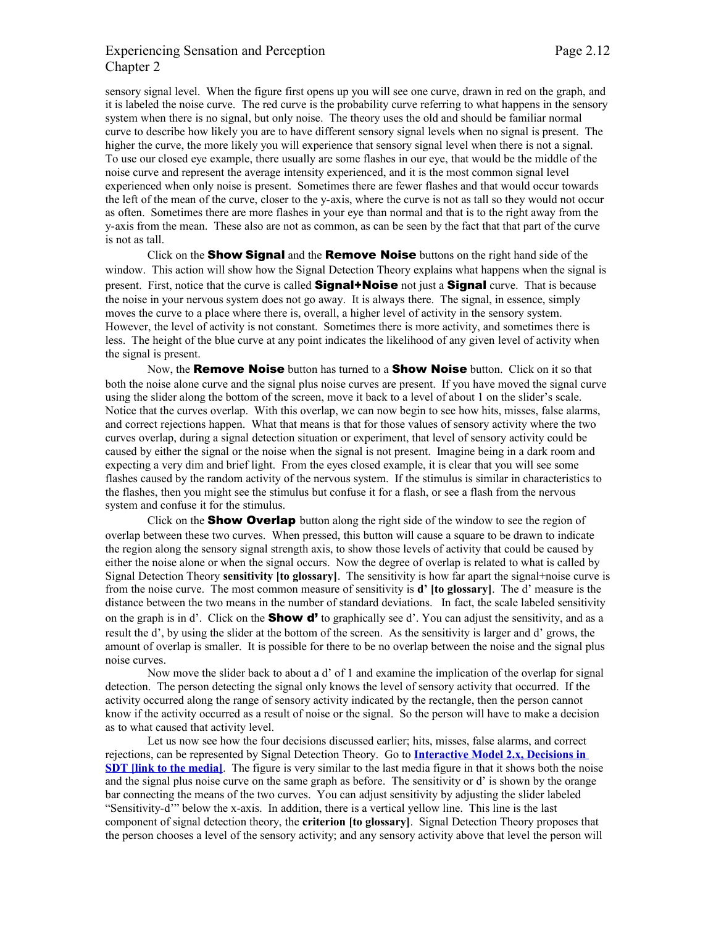## Experiencing Sensation and Perception Page 2.12 Chapter 2

sensory signal level. When the figure first opens up you will see one curve, drawn in red on the graph, and it is labeled the noise curve. The red curve is the probability curve referring to what happens in the sensory system when there is no signal, but only noise. The theory uses the old and should be familiar normal curve to describe how likely you are to have different sensory signal levels when no signal is present. The higher the curve, the more likely you will experience that sensory signal level when there is not a signal. To use our closed eye example, there usually are some flashes in our eye, that would be the middle of the noise curve and represent the average intensity experienced, and it is the most common signal level experienced when only noise is present. Sometimes there are fewer flashes and that would occur towards the left of the mean of the curve, closer to the y-axis, where the curve is not as tall so they would not occur as often. Sometimes there are more flashes in your eye than normal and that is to the right away from the y-axis from the mean. These also are not as common, as can be seen by the fact that that part of the curve is not as tall.

Click on the **Show Signal** and the **Remove Noise** buttons on the right hand side of the window. This action will show how the Signal Detection Theory explains what happens when the signal is present. First, notice that the curve is called **Signal+Noise** not just a **Signal** curve. That is because the noise in your nervous system does not go away. It is always there. The signal, in essence, simply moves the curve to a place where there is, overall, a higher level of activity in the sensory system. However, the level of activity is not constant. Sometimes there is more activity, and sometimes there is less. The height of the blue curve at any point indicates the likelihood of any given level of activity when the signal is present.

Now, the **Remove Noise** button has turned to a **Show Noise** button. Click on it so that both the noise alone curve and the signal plus noise curves are present. If you have moved the signal curve using the slider along the bottom of the screen, move it back to a level of about 1 on the slider's scale. Notice that the curves overlap. With this overlap, we can now begin to see how hits, misses, false alarms, and correct rejections happen. What that means is that for those values of sensory activity where the two curves overlap, during a signal detection situation or experiment, that level of sensory activity could be caused by either the signal or the noise when the signal is not present. Imagine being in a dark room and expecting a very dim and brief light. From the eyes closed example, it is clear that you will see some flashes caused by the random activity of the nervous system. If the stimulus is similar in characteristics to the flashes, then you might see the stimulus but confuse it for a flash, or see a flash from the nervous system and confuse it for the stimulus.

Click on the **Show Overlap** button along the right side of the window to see the region of overlap between these two curves. When pressed, this button will cause a square to be drawn to indicate the region along the sensory signal strength axis, to show those levels of activity that could be caused by either the noise alone or when the signal occurs. Now the degree of overlap is related to what is called by Signal Detection Theory **sensitivity [to glossary]**. The sensitivity is how far apart the signal+noise curve is from the noise curve. The most common measure of sensitivity is **d' [to glossary]**. The d' measure is the distance between the two means in the number of standard deviations. In fact, the scale labeled sensitivity on the graph is in d'. Click on the **Show d'** to graphically see d'. You can adjust the sensitivity, and as a result the d', by using the slider at the bottom of the screen. As the sensitivity is larger and d' grows, the amount of overlap is smaller. It is possible for there to be no overlap between the noise and the signal plus noise curves.

Now move the slider back to about a d' of 1 and examine the implication of the overlap for signal detection. The person detecting the signal only knows the level of sensory activity that occurred. If the activity occurred along the range of sensory activity indicated by the rectangle, then the person cannot know if the activity occurred as a result of noise or the signal. So the person will have to make a decision as to what caused that activity level.

Let us now see how the four decisions discussed earlier; hits, misses, false alarms, and correct rejections, can be represented by Signal Detection Theory. Go to **[Interactive Model 2.x, Decisions in](http://psych.hanover.edu/JavaTest/Media/Chapter2/MedFig.DecisionsInSDT.html) [SDT \[link to the media\]](http://psych.hanover.edu/JavaTest/Media/Chapter2/MedFig.DecisionsInSDT.html)**. The figure is very similar to the last media figure in that it shows both the noise and the signal plus noise curve on the same graph as before. The sensitivity or d' is shown by the orange bar connecting the means of the two curves. You can adjust sensitivity by adjusting the slider labeled "Sensitivity-d'" below the x-axis. In addition, there is a vertical yellow line. This line is the last component of signal detection theory, the **criterion [to glossary]**. Signal Detection Theory proposes that the person chooses a level of the sensory activity; and any sensory activity above that level the person will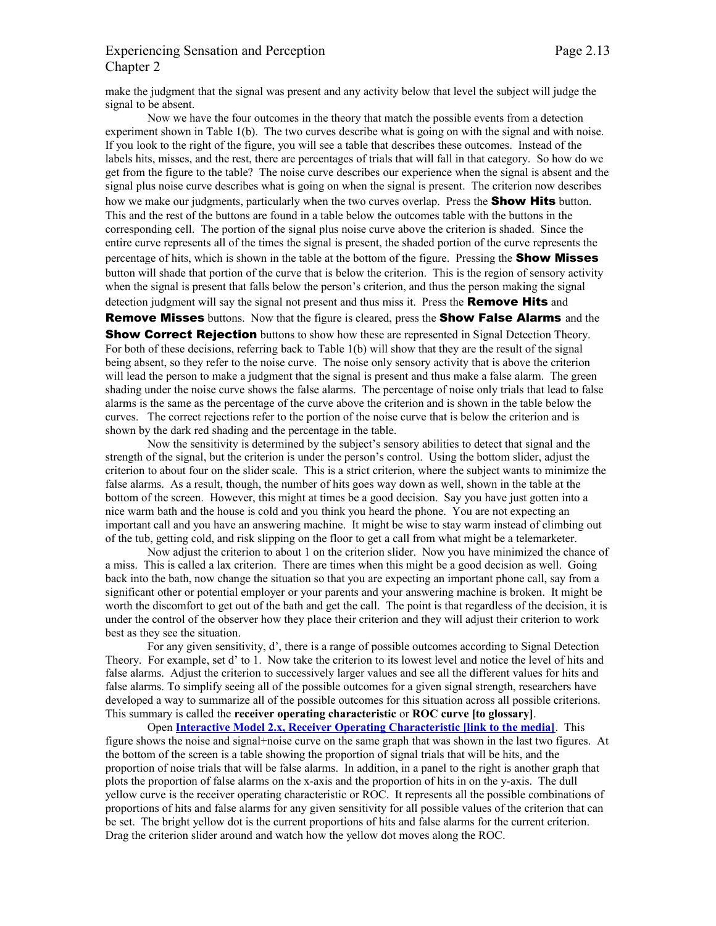# Experiencing Sensation and Perception Page 2.13 Chapter 2

make the judgment that the signal was present and any activity below that level the subject will judge the signal to be absent.

Now we have the four outcomes in the theory that match the possible events from a detection experiment shown in Table 1(b). The two curves describe what is going on with the signal and with noise. If you look to the right of the figure, you will see a table that describes these outcomes. Instead of the labels hits, misses, and the rest, there are percentages of trials that will fall in that category. So how do we get from the figure to the table? The noise curve describes our experience when the signal is absent and the signal plus noise curve describes what is going on when the signal is present. The criterion now describes how we make our judgments, particularly when the two curves overlap. Press the **Show Hits** button. This and the rest of the buttons are found in a table below the outcomes table with the buttons in the corresponding cell. The portion of the signal plus noise curve above the criterion is shaded. Since the entire curve represents all of the times the signal is present, the shaded portion of the curve represents the percentage of hits, which is shown in the table at the bottom of the figure. Pressing the **Show Misses** button will shade that portion of the curve that is below the criterion. This is the region of sensory activity when the signal is present that falls below the person's criterion, and thus the person making the signal detection judgment will say the signal not present and thus miss it. Press the **Remove Hits** and

**Remove Misses** buttons. Now that the figure is cleared, press the **Show False Alarms** and the

**Show Correct Rejection** buttons to show how these are represented in Signal Detection Theory. For both of these decisions, referring back to Table 1(b) will show that they are the result of the signal being absent, so they refer to the noise curve. The noise only sensory activity that is above the criterion will lead the person to make a judgment that the signal is present and thus make a false alarm. The green shading under the noise curve shows the false alarms. The percentage of noise only trials that lead to false alarms is the same as the percentage of the curve above the criterion and is shown in the table below the curves. The correct rejections refer to the portion of the noise curve that is below the criterion and is shown by the dark red shading and the percentage in the table.

Now the sensitivity is determined by the subject's sensory abilities to detect that signal and the strength of the signal, but the criterion is under the person's control. Using the bottom slider, adjust the criterion to about four on the slider scale. This is a strict criterion, where the subject wants to minimize the false alarms. As a result, though, the number of hits goes way down as well, shown in the table at the bottom of the screen. However, this might at times be a good decision. Say you have just gotten into a nice warm bath and the house is cold and you think you heard the phone. You are not expecting an important call and you have an answering machine. It might be wise to stay warm instead of climbing out of the tub, getting cold, and risk slipping on the floor to get a call from what might be a telemarketer.

Now adjust the criterion to about 1 on the criterion slider. Now you have minimized the chance of a miss. This is called a lax criterion. There are times when this might be a good decision as well. Going back into the bath, now change the situation so that you are expecting an important phone call, say from a significant other or potential employer or your parents and your answering machine is broken. It might be worth the discomfort to get out of the bath and get the call. The point is that regardless of the decision, it is under the control of the observer how they place their criterion and they will adjust their criterion to work best as they see the situation.

For any given sensitivity, d', there is a range of possible outcomes according to Signal Detection Theory. For example, set d' to 1. Now take the criterion to its lowest level and notice the level of hits and false alarms. Adjust the criterion to successively larger values and see all the different values for hits and false alarms. To simplify seeing all of the possible outcomes for a given signal strength, researchers have developed a way to summarize all of the possible outcomes for this situation across all possible criterions. This summary is called the **receiver operating characteristic** or **ROC curve [to glossary]**.

Open **[Interactive Model 2.x, Receiver Operating Characteristic \[link to the media\]](http://psych.hanover.edu/JavaTest/Media/Chapter2/MedFig.ROC.html)**. This figure shows the noise and signal+noise curve on the same graph that was shown in the last two figures. At the bottom of the screen is a table showing the proportion of signal trials that will be hits, and the proportion of noise trials that will be false alarms. In addition, in a panel to the right is another graph that plots the proportion of false alarms on the x-axis and the proportion of hits in on the y-axis. The dull yellow curve is the receiver operating characteristic or ROC. It represents all the possible combinations of proportions of hits and false alarms for any given sensitivity for all possible values of the criterion that can be set. The bright yellow dot is the current proportions of hits and false alarms for the current criterion. Drag the criterion slider around and watch how the yellow dot moves along the ROC.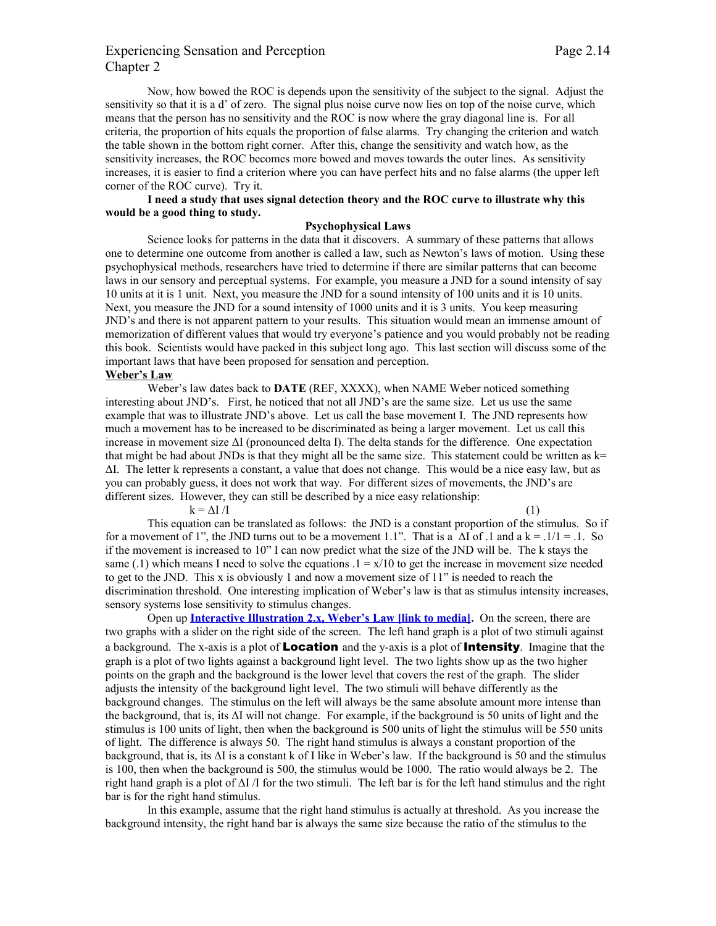# Experiencing Sensation and Perception Page 2.14 Chapter 2

Now, how bowed the ROC is depends upon the sensitivity of the subject to the signal. Adjust the sensitivity so that it is a d' of zero. The signal plus noise curve now lies on top of the noise curve, which means that the person has no sensitivity and the ROC is now where the gray diagonal line is. For all criteria, the proportion of hits equals the proportion of false alarms. Try changing the criterion and watch the table shown in the bottom right corner. After this, change the sensitivity and watch how, as the sensitivity increases, the ROC becomes more bowed and moves towards the outer lines. As sensitivity increases, it is easier to find a criterion where you can have perfect hits and no false alarms (the upper left corner of the ROC curve). Try it.

## **I need a study that uses signal detection theory and the ROC curve to illustrate why this would be a good thing to study.**

## **Psychophysical Laws**

Science looks for patterns in the data that it discovers. A summary of these patterns that allows one to determine one outcome from another is called a law, such as Newton's laws of motion. Using these psychophysical methods, researchers have tried to determine if there are similar patterns that can become laws in our sensory and perceptual systems. For example, you measure a JND for a sound intensity of say 10 units at it is 1 unit. Next, you measure the JND for a sound intensity of 100 units and it is 10 units. Next, you measure the JND for a sound intensity of 1000 units and it is 3 units. You keep measuring JND's and there is not apparent pattern to your results. This situation would mean an immense amount of memorization of different values that would try everyone's patience and you would probably not be reading this book. Scientists would have packed in this subject long ago. This last section will discuss some of the important laws that have been proposed for sensation and perception. **Weber's Law**

Weber's law dates back to **DATE** (REF, XXXX), when NAME Weber noticed something interesting about JND's. First, he noticed that not all JND's are the same size. Let us use the same example that was to illustrate JND's above. Let us call the base movement I. The JND represents how much a movement has to be increased to be discriminated as being a larger movement. Let us call this increase in movement size ΔI (pronounced delta I). The delta stands for the difference. One expectation that might be had about JNDs is that they might all be the same size. This statement could be written as  $k=$ ΔI. The letter k represents a constant, a value that does not change. This would be a nice easy law, but as you can probably guess, it does not work that way. For different sizes of movements, the JND's are different sizes. However, they can still be described by a nice easy relationship:

 $k = \Delta I / I$  (1)

This equation can be translated as follows: the JND is a constant proportion of the stimulus. So if for a movement of 1", the JND turns out to be a movement 1.1". That is a  $\Delta I$  of .1 and a k = .1/1 = .1. So if the movement is increased to 10" I can now predict what the size of the JND will be. The k stays the same (.1) which means I need to solve the equations  $1 = x/10$  to get the increase in movement size needed to get to the JND. This x is obviously 1 and now a movement size of  $11$ " is needed to reach the discrimination threshold. One interesting implication of Weber's law is that as stimulus intensity increases, sensory systems lose sensitivity to stimulus changes.

Open up **[Interactive Illustration 2.x, Weber's Law \[link to media\].](http://psych.hanover.edu/JavaTest/Media/Chapter2/MedFig.Weber.html)** On the screen, there are two graphs with a slider on the right side of the screen. The left hand graph is a plot of two stimuli against a background. The x-axis is a plot of **Location** and the y-axis is a plot of **Intensity**. Imagine that the graph is a plot of two lights against a background light level. The two lights show up as the two higher points on the graph and the background is the lower level that covers the rest of the graph. The slider adjusts the intensity of the background light level. The two stimuli will behave differently as the background changes. The stimulus on the left will always be the same absolute amount more intense than the background, that is, its ΔI will not change. For example, if the background is 50 units of light and the stimulus is 100 units of light, then when the background is 500 units of light the stimulus will be 550 units of light. The difference is always 50. The right hand stimulus is always a constant proportion of the background, that is, its  $\Delta I$  is a constant k of I like in Weber's law. If the background is 50 and the stimulus is 100, then when the background is 500, the stimulus would be 1000. The ratio would always be 2. The right hand graph is a plot of  $\Delta I/I$  for the two stimuli. The left bar is for the left hand stimulus and the right bar is for the right hand stimulus.

In this example, assume that the right hand stimulus is actually at threshold. As you increase the background intensity, the right hand bar is always the same size because the ratio of the stimulus to the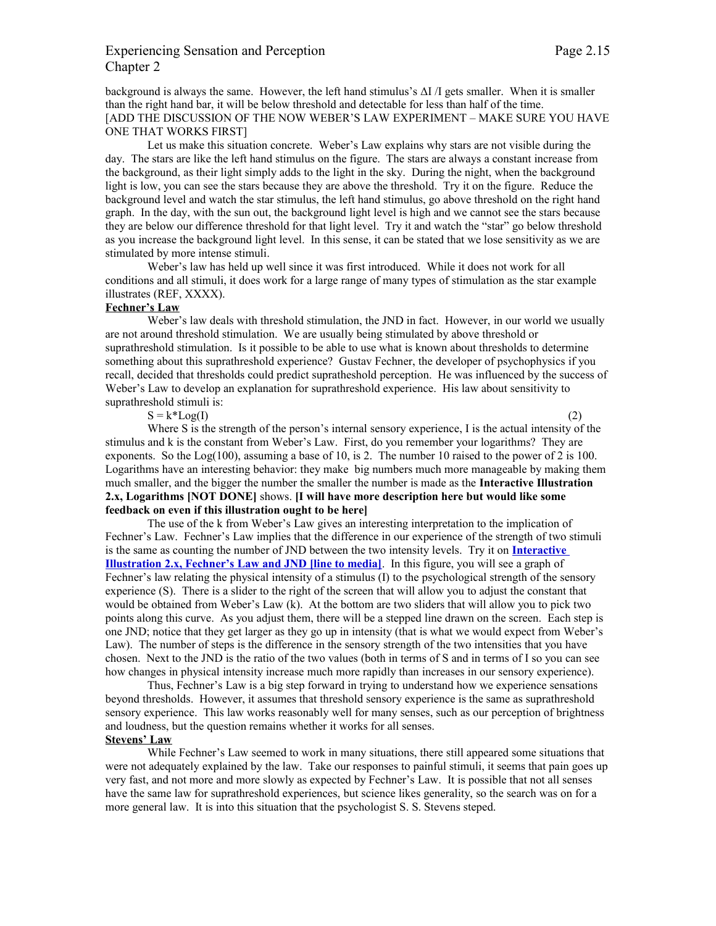# Experiencing Sensation and Perception Page 2.15 Chapter 2

background is always the same. However, the left hand stimulus's  $\Delta I/I$  gets smaller. When it is smaller than the right hand bar, it will be below threshold and detectable for less than half of the time. [ADD THE DISCUSSION OF THE NOW WEBER'S LAW EXPERIMENT – MAKE SURE YOU HAVE ONE THAT WORKS FIRST]

Let us make this situation concrete. Weber's Law explains why stars are not visible during the day. The stars are like the left hand stimulus on the figure. The stars are always a constant increase from the background, as their light simply adds to the light in the sky. During the night, when the background light is low, you can see the stars because they are above the threshold. Try it on the figure. Reduce the background level and watch the star stimulus, the left hand stimulus, go above threshold on the right hand graph. In the day, with the sun out, the background light level is high and we cannot see the stars because they are below our difference threshold for that light level. Try it and watch the "star" go below threshold as you increase the background light level. In this sense, it can be stated that we lose sensitivity as we are stimulated by more intense stimuli.

Weber's law has held up well since it was first introduced. While it does not work for all conditions and all stimuli, it does work for a large range of many types of stimulation as the star example illustrates (REF, XXXX).

## **Fechner's Law**

Weber's law deals with threshold stimulation, the JND in fact. However, in our world we usually are not around threshold stimulation. We are usually being stimulated by above threshold or suprathreshold stimulation. Is it possible to be able to use what is known about thresholds to determine something about this suprathreshold experience? Gustav Fechner, the developer of psychophysics if you recall, decided that thresholds could predict supratheshold perception. He was influenced by the success of Weber's Law to develop an explanation for suprathreshold experience. His law about sensitivity to suprathreshold stimuli is:

 $S = k^*Log(I)$  (2)

Where S is the strength of the person's internal sensory experience, I is the actual intensity of the stimulus and k is the constant from Weber's Law. First, do you remember your logarithms? They are exponents. So the Log(100), assuming a base of 10, is 2. The number 10 raised to the power of 2 is 100. Logarithms have an interesting behavior: they make big numbers much more manageable by making them much smaller, and the bigger the number the smaller the number is made as the **Interactive Illustration 2.x, Logarithms [NOT DONE]** shows. **[I will have more description here but would like some feedback on even if this illustration ought to be here]**

The use of the k from Weber's Law gives an interesting interpretation to the implication of Fechner's Law. Fechner's Law implies that the difference in our experience of the strength of two stimuli is the same as counting the number of JND between the two intensity levels. Try it on **[Interactive](http://psych.hanover.edu/JavaTest/Media/Chapter2/MedFig.Fechner.html) [Illustration 2.x, Fechner's Law and JND \[line to media\]](http://psych.hanover.edu/JavaTest/Media/Chapter2/MedFig.Fechner.html)**. In this figure, you will see a graph of Fechner's law relating the physical intensity of a stimulus (I) to the psychological strength of the sensory experience (S). There is a slider to the right of the screen that will allow you to adjust the constant that would be obtained from Weber's Law (k). At the bottom are two sliders that will allow you to pick two points along this curve. As you adjust them, there will be a stepped line drawn on the screen. Each step is one JND; notice that they get larger as they go up in intensity (that is what we would expect from Weber's Law). The number of steps is the difference in the sensory strength of the two intensities that you have chosen. Next to the JND is the ratio of the two values (both in terms of S and in terms of I so you can see how changes in physical intensity increase much more rapidly than increases in our sensory experience).

Thus, Fechner's Law is a big step forward in trying to understand how we experience sensations beyond thresholds. However, it assumes that threshold sensory experience is the same as suprathreshold sensory experience. This law works reasonably well for many senses, such as our perception of brightness and loudness, but the question remains whether it works for all senses.

## **Stevens' Law**

While Fechner's Law seemed to work in many situations, there still appeared some situations that were not adequately explained by the law. Take our responses to painful stimuli, it seems that pain goes up very fast, and not more and more slowly as expected by Fechner's Law. It is possible that not all senses have the same law for suprathreshold experiences, but science likes generality, so the search was on for a more general law. It is into this situation that the psychologist S. S. Stevens steped.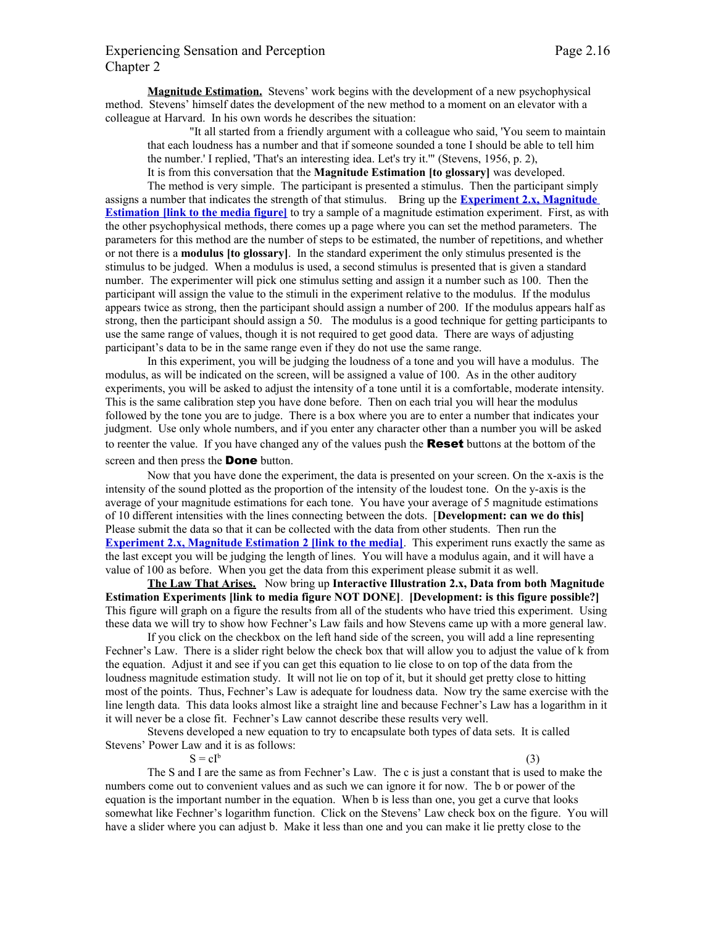# Experiencing Sensation and Perception Page 2.16 Chapter 2

**Magnitude Estimation.** Stevens' work begins with the development of a new psychophysical method. Stevens' himself dates the development of the new method to a moment on an elevator with a colleague at Harvard. In his own words he describes the situation:

"It all started from a friendly argument with a colleague who said, 'You seem to maintain that each loudness has a number and that if someone sounded a tone I should be able to tell him the number.' I replied, 'That's an interesting idea. Let's try it.'" (Stevens, 1956, p. 2), It is from this conversation that the **Magnitude Estimation [to glossary]** was developed.

The method is very simple. The participant is presented a stimulus. Then the participant simply assigns a number that indicates the strength of that stimulus. Bring up the **[Experiment 2.x, Magnitude](http://psych.hanover.edu/JavaTest/Media/Chapter2/MedFig.MagEst1.html) Estimation link to the media figure** to try a sample of a magnitude estimation experiment. First, as with the other psychophysical methods, there comes up a page where you can set the method parameters. The parameters for this method are the number of steps to be estimated, the number of repetitions, and whether or not there is a **modulus [to glossary]**. In the standard experiment the only stimulus presented is the stimulus to be judged. When a modulus is used, a second stimulus is presented that is given a standard number. The experimenter will pick one stimulus setting and assign it a number such as 100. Then the participant will assign the value to the stimuli in the experiment relative to the modulus. If the modulus appears twice as strong, then the participant should assign a number of 200. If the modulus appears half as strong, then the participant should assign a 50. The modulus is a good technique for getting participants to use the same range of values, though it is not required to get good data. There are ways of adjusting participant's data to be in the same range even if they do not use the same range.

In this experiment, you will be judging the loudness of a tone and you will have a modulus. The modulus, as will be indicated on the screen, will be assigned a value of 100. As in the other auditory experiments, you will be asked to adjust the intensity of a tone until it is a comfortable, moderate intensity. This is the same calibration step you have done before. Then on each trial you will hear the modulus followed by the tone you are to judge. There is a box where you are to enter a number that indicates your judgment. Use only whole numbers, and if you enter any character other than a number you will be asked to reenter the value. If you have changed any of the values push the **Reset** buttons at the bottom of the screen and then press the **Done** button.

Now that you have done the experiment, the data is presented on your screen. On the x-axis is the intensity of the sound plotted as the proportion of the intensity of the loudest tone. On the y-axis is the average of your magnitude estimations for each tone. You have your average of 5 magnitude estimations of 10 different intensities with the lines connecting between the dots. [**Development: can we do this]** Please submit the data so that it can be collected with the data from other students. Then run the **[Experiment 2.x, Magnitude Estimation 2 \[link to the media\]](http://psych.hanover.edu/JavaTest/Media/Chapter2/MedFig.MagEst2.html)**. This experiment runs exactly the same as the last except you will be judging the length of lines. You will have a modulus again, and it will have a value of 100 as before. When you get the data from this experiment please submit it as well.

**The Law That Arises.** Now bring up **Interactive Illustration 2.x, Data from both Magnitude Estimation Experiments [link to media figure NOT DONE]**. **[Development: is this figure possible?]** This figure will graph on a figure the results from all of the students who have tried this experiment. Using these data we will try to show how Fechner's Law fails and how Stevens came up with a more general law.

If you click on the checkbox on the left hand side of the screen, you will add a line representing Fechner's Law. There is a slider right below the check box that will allow you to adjust the value of k from the equation. Adjust it and see if you can get this equation to lie close to on top of the data from the loudness magnitude estimation study. It will not lie on top of it, but it should get pretty close to hitting most of the points. Thus, Fechner's Law is adequate for loudness data. Now try the same exercise with the line length data. This data looks almost like a straight line and because Fechner's Law has a logarithm in it it will never be a close fit. Fechner's Law cannot describe these results very well.

Stevens developed a new equation to try to encapsulate both types of data sets. It is called Stevens' Power Law and it is as follows:

 $S = cI^b$ 

(3)

The S and I are the same as from Fechner's Law. The c is just a constant that is used to make the numbers come out to convenient values and as such we can ignore it for now. The b or power of the equation is the important number in the equation. When b is less than one, you get a curve that looks somewhat like Fechner's logarithm function. Click on the Stevens' Law check box on the figure. You will have a slider where you can adjust b. Make it less than one and you can make it lie pretty close to the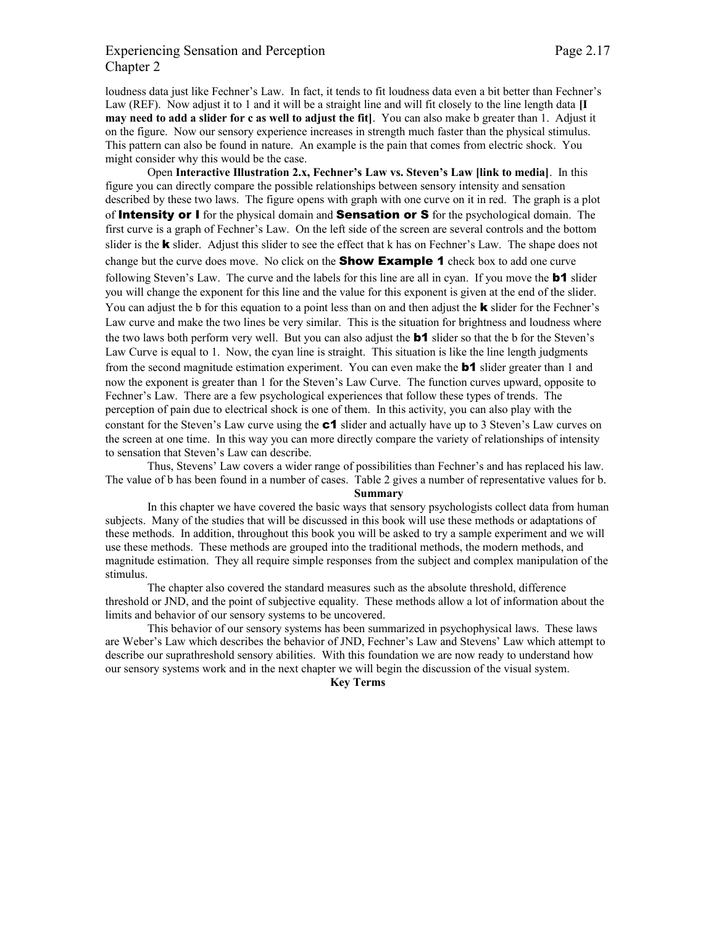# Experiencing Sensation and Perception Page 2.17 Chapter 2

loudness data just like Fechner's Law. In fact, it tends to fit loudness data even a bit better than Fechner's Law (REF). Now adjust it to 1 and it will be a straight line and will fit closely to the line length data **[I may need to add a slider for c as well to adjust the fit]**. You can also make b greater than 1. Adjust it on the figure. Now our sensory experience increases in strength much faster than the physical stimulus. This pattern can also be found in nature. An example is the pain that comes from electric shock. You might consider why this would be the case.

Open **Interactive Illustration 2.x, Fechner's Law vs. Steven's Law [link to media]**. In this figure you can directly compare the possible relationships between sensory intensity and sensation described by these two laws. The figure opens with graph with one curve on it in red. The graph is a plot of **Intensity or I** for the physical domain and **Sensation or S** for the psychological domain. The first curve is a graph of Fechner's Law. On the left side of the screen are several controls and the bottom slider is the **k** slider. Adjust this slider to see the effect that k has on Fechner's Law. The shape does not change but the curve does move. No click on the **Show Example 1** check box to add one curve following Steven's Law. The curve and the labels for this line are all in cyan. If you move the  $\mathbf{b}$  slider you will change the exponent for this line and the value for this exponent is given at the end of the slider. You can adjust the b for this equation to a point less than on and then adjust the **k** slider for the Fechner's Law curve and make the two lines be very similar. This is the situation for brightness and loudness where the two laws both perform very well. But you can also adjust the **b1** slider so that the b for the Steven's Law Curve is equal to 1. Now, the cyan line is straight. This situation is like the line length judgments from the second magnitude estimation experiment. You can even make the **b1** slider greater than 1 and now the exponent is greater than 1 for the Steven's Law Curve. The function curves upward, opposite to Fechner's Law. There are a few psychological experiences that follow these types of trends. The perception of pain due to electrical shock is one of them. In this activity, you can also play with the constant for the Steven's Law curve using the c1 slider and actually have up to 3 Steven's Law curves on the screen at one time. In this way you can more directly compare the variety of relationships of intensity to sensation that Steven's Law can describe.

Thus, Stevens' Law covers a wider range of possibilities than Fechner's and has replaced his law. The value of b has been found in a number of cases. Table 2 gives a number of representative values for b.

#### **Summary**

In this chapter we have covered the basic ways that sensory psychologists collect data from human subjects. Many of the studies that will be discussed in this book will use these methods or adaptations of these methods. In addition, throughout this book you will be asked to try a sample experiment and we will use these methods. These methods are grouped into the traditional methods, the modern methods, and magnitude estimation. They all require simple responses from the subject and complex manipulation of the stimulus.

The chapter also covered the standard measures such as the absolute threshold, difference threshold or JND, and the point of subjective equality. These methods allow a lot of information about the limits and behavior of our sensory systems to be uncovered.

This behavior of our sensory systems has been summarized in psychophysical laws. These laws are Weber's Law which describes the behavior of JND, Fechner's Law and Stevens' Law which attempt to describe our suprathreshold sensory abilities. With this foundation we are now ready to understand how our sensory systems work and in the next chapter we will begin the discussion of the visual system.

**Key Terms**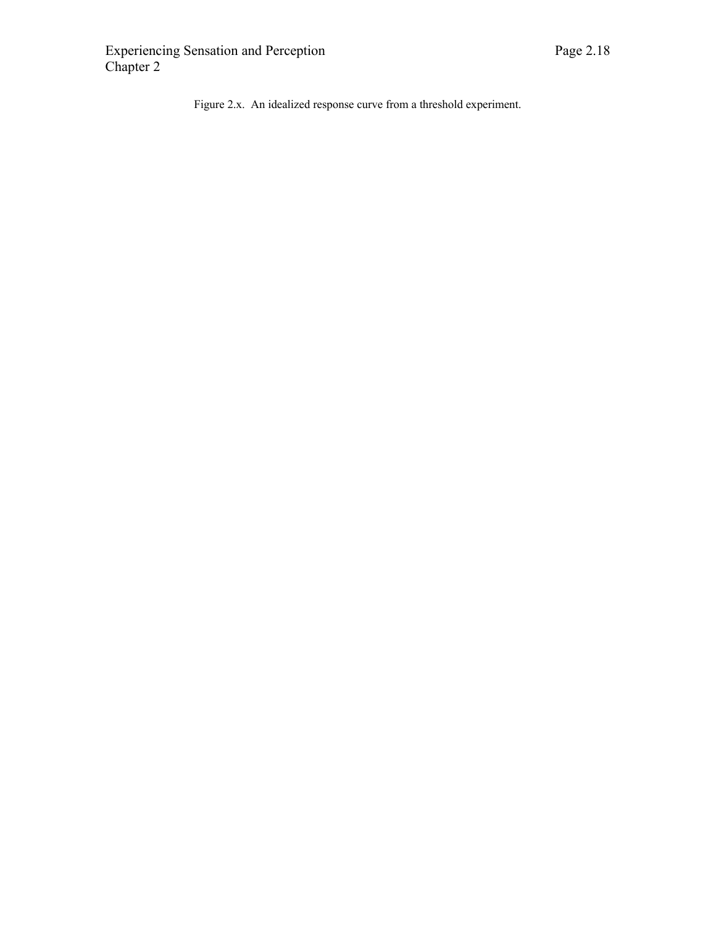Figure 2.x. An idealized response curve from a threshold experiment.